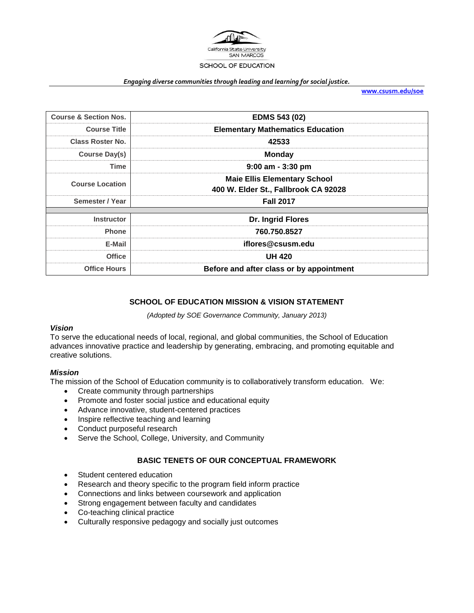

#### *Engaging diverse communities through leading and learning for social justice.*

**[www.csusm.edu/soe](http://www.csusm.edu/soe)**

| <b>Course &amp; Section Nos.</b> | <b>EDMS 543 (02)</b>                                                        |  |
|----------------------------------|-----------------------------------------------------------------------------|--|
| <b>Course Title</b>              | <b>Elementary Mathematics Education</b>                                     |  |
| <b>Class Roster No.</b>          | 42533                                                                       |  |
| Course Day(s)                    | <b>Monday</b>                                                               |  |
| <b>Time</b>                      | $9:00$ am - 3:30 pm                                                         |  |
| <b>Course Location</b>           | <b>Maie Ellis Elementary School</b><br>400 W. Elder St., Fallbrook CA 92028 |  |
| Semester / Year                  | <b>Fall 2017</b>                                                            |  |
|                                  |                                                                             |  |
| <b>Instructor</b>                | Dr. Ingrid Flores                                                           |  |
| <b>Phone</b>                     | 760.750.8527                                                                |  |
| E-Mail                           | iflores@csusm.edu                                                           |  |
| <b>Office</b>                    | <b>UH 420</b>                                                               |  |
| <b>Office Hours</b>              | Before and after class or by appointment                                    |  |

#### **SCHOOL OF EDUCATION MISSION & VISION STATEMENT**

*(Adopted by SOE Governance Community, January 2013)*

### *Vision*

To serve the educational needs of local, regional, and global communities, the School of Education advances innovative practice and leadership by generating, embracing, and promoting equitable and creative solutions.

#### *Mission*

The mission of the School of Education community is to collaboratively transform education. We:

- Create community through partnerships
- Promote and foster social justice and educational equity
- Advance innovative, student-centered practices
- Inspire reflective teaching and learning
- Conduct purposeful research
- Serve the School, College, University, and Community

#### **BASIC TENETS OF OUR CONCEPTUAL FRAMEWORK**

- Student centered education
- Research and theory specific to the program field inform practice
- Connections and links between coursework and application
- Strong engagement between faculty and candidates
- Co-teaching clinical practice
- Culturally responsive pedagogy and socially just outcomes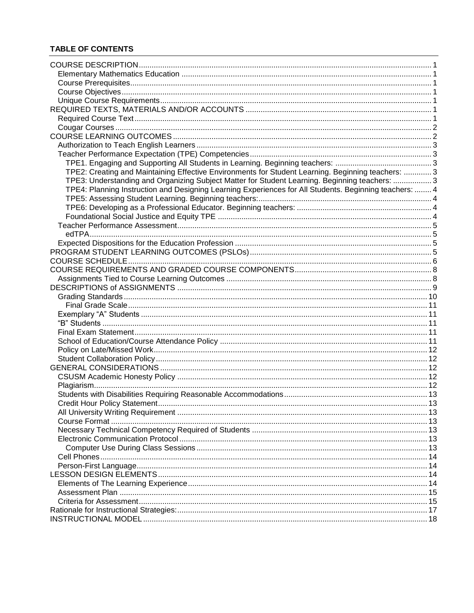# **TABLE OF CONTENTS**

| TPE2: Creating and Maintaining Effective Environments for Student Learning. Beginning teachers:  3     |  |
|--------------------------------------------------------------------------------------------------------|--|
| TPE3: Understanding and Organizing Subject Matter for Student Learning. Beginning teachers: 3          |  |
|                                                                                                        |  |
| TPE4: Planning Instruction and Designing Learning Experiences for All Students. Beginning teachers:  4 |  |
|                                                                                                        |  |
|                                                                                                        |  |
|                                                                                                        |  |
|                                                                                                        |  |
|                                                                                                        |  |
|                                                                                                        |  |
|                                                                                                        |  |
|                                                                                                        |  |
|                                                                                                        |  |
|                                                                                                        |  |
|                                                                                                        |  |
|                                                                                                        |  |
|                                                                                                        |  |
|                                                                                                        |  |
|                                                                                                        |  |
|                                                                                                        |  |
|                                                                                                        |  |
|                                                                                                        |  |
|                                                                                                        |  |
|                                                                                                        |  |
|                                                                                                        |  |
|                                                                                                        |  |
|                                                                                                        |  |
|                                                                                                        |  |
|                                                                                                        |  |
|                                                                                                        |  |
|                                                                                                        |  |
|                                                                                                        |  |
|                                                                                                        |  |
|                                                                                                        |  |
|                                                                                                        |  |
|                                                                                                        |  |
|                                                                                                        |  |
|                                                                                                        |  |
|                                                                                                        |  |
|                                                                                                        |  |
|                                                                                                        |  |
|                                                                                                        |  |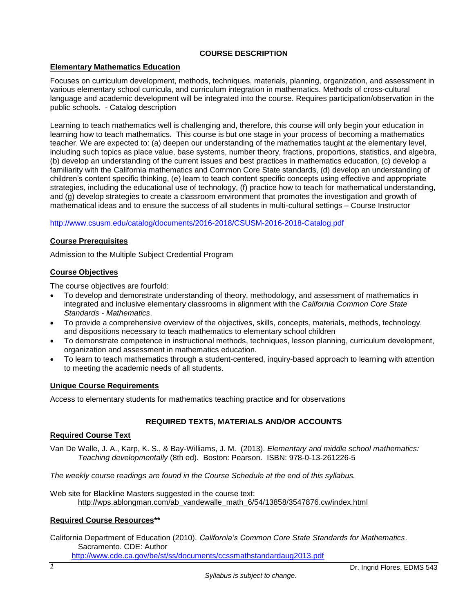# **COURSE DESCRIPTION**

### <span id="page-2-1"></span><span id="page-2-0"></span>**Elementary Mathematics Education**

Focuses on curriculum development, methods, techniques, materials, planning, organization, and assessment in various elementary school curricula, and curriculum integration in mathematics. Methods of cross-cultural language and academic development will be integrated into the course. Requires participation/observation in the public schools. - Catalog description

Learning to teach mathematics well is challenging and, therefore, this course will only begin your education in learning how to teach mathematics. This course is but one stage in your process of becoming a mathematics teacher. We are expected to: (a) deepen our understanding of the mathematics taught at the elementary level, including such topics as place value, base systems, number theory, fractions, proportions, statistics, and algebra, (b) develop an understanding of the current issues and best practices in mathematics education, (c) develop a familiarity with the California mathematics and Common Core State standards, (d) develop an understanding of children's content specific thinking, (e) learn to teach content specific concepts using effective and appropriate strategies, including the educational use of technology, (f) practice how to teach for mathematical understanding, and (g) develop strategies to create a classroom environment that promotes the investigation and growth of mathematical ideas and to ensure the success of all students in multi-cultural settings – Course Instructor

#### <http://www.csusm.edu/catalog/documents/2016-2018/CSUSM-2016-2018-Catalog.pdf>

#### <span id="page-2-2"></span>**Course Prerequisites**

Admission to the Multiple Subject Credential Program

#### <span id="page-2-3"></span>**Course Objectives**

The course objectives are fourfold:

- To develop and demonstrate understanding of theory, methodology, and assessment of mathematics in integrated and inclusive elementary classrooms in alignment with the *California Common Core State Standards - Mathematics*.
- To provide a comprehensive overview of the objectives, skills, concepts, materials, methods, technology, and dispositions necessary to teach mathematics to elementary school children
- To demonstrate competence in instructional methods, techniques, lesson planning, curriculum development, organization and assessment in mathematics education.
- To learn to teach mathematics through a student-centered, inquiry-based approach to learning with attention to meeting the academic needs of all students.

#### <span id="page-2-4"></span>**Unique Course Requirements**

<span id="page-2-5"></span>Access to elementary students for mathematics teaching practice and for observations

### **REQUIRED TEXTS, MATERIALS AND/OR ACCOUNTS**

#### <span id="page-2-6"></span>**Required Course Text**

Van De Walle, J. A., Karp, K. S., & Bay-Williams, J. M. (2013). *Elementary and middle school mathematics: Teaching developmentally* (8th ed). Boston: Pearson. ISBN: 978-0-13-261226-5

*The weekly course readings are found in the Course Schedule at the end of this syllabus.*

Web site for Blackline Masters suggested in the course text: [http://wps.ablongman.com/ab\\_vandewalle\\_math\\_6/54/13858/3547876.cw/index.html](http://wps.ablongman.com/ab_vandewalle_math_6/54/13858/3547876.cw/index.html)

#### **Required Course Resources\*\***

California Department of Education (2010). *California's Common Core State Standards for Mathematics*. Sacramento. CDE: Author

<http://www.cde.ca.gov/be/st/ss/documents/ccssmathstandardaug2013.pdf>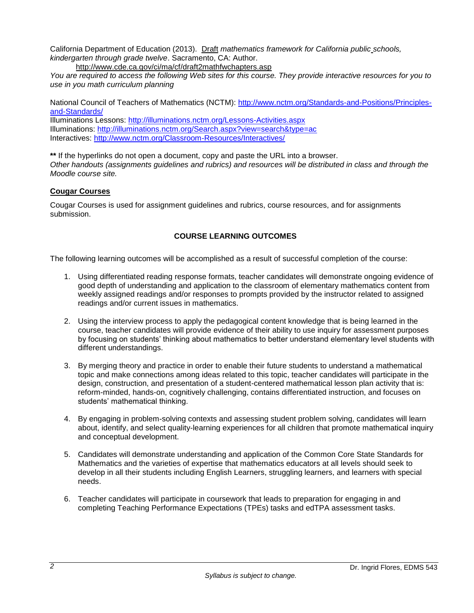California Department of Education (2013). Draft *mathematics framework for California public schools, kindergarten through grade twelve*. Sacramento, CA: Author.

<http://www.cde.ca.gov/ci/ma/cf/draft2mathfwchapters.asp>

*You are required to access the following Web sites for this course. They provide interactive resources for you to use in you math curriculum planning*

National Council of Teachers of Mathematics (NCTM): [http://www.nctm.org/Standards-and-Positions/Principles](http://www.nctm.org/Standards-and-Positions/Principles-and-Standards/)[and-Standards/](http://www.nctm.org/Standards-and-Positions/Principles-and-Standards/)

Illuminations Lessons:<http://illuminations.nctm.org/Lessons-Activities.aspx> Illuminations:<http://illuminations.nctm.org/Search.aspx?view=search&type=ac> Interactives:<http://www.nctm.org/Classroom-Resources/Interactives/>

**\*\*** If the hyperlinks do not open a document, copy and paste the URL into a browser. *Other handouts (assignments guidelines and rubrics) and resources will be distributed in class and through the Moodle course site.*

### <span id="page-3-0"></span>**Cougar Courses**

<span id="page-3-1"></span>Cougar Courses is used for assignment guidelines and rubrics, course resources, and for assignments submission.

### **COURSE LEARNING OUTCOMES**

The following learning outcomes will be accomplished as a result of successful completion of the course:

- 1. Using differentiated reading response formats, teacher candidates will demonstrate ongoing evidence of good depth of understanding and application to the classroom of elementary mathematics content from weekly assigned readings and/or responses to prompts provided by the instructor related to assigned readings and/or current issues in mathematics.
- 2. Using the interview process to apply the pedagogical content knowledge that is being learned in the course, teacher candidates will provide evidence of their ability to use inquiry for assessment purposes by focusing on students' thinking about mathematics to better understand elementary level students with different understandings.
- 3. By merging theory and practice in order to enable their future students to understand a mathematical topic and make connections among ideas related to this topic, teacher candidates will participate in the design, construction, and presentation of a student-centered mathematical lesson plan activity that is: reform-minded, hands-on, cognitively challenging, contains differentiated instruction, and focuses on students' mathematical thinking.
- 4. By engaging in problem-solving contexts and assessing student problem solving, candidates will learn about, identify, and select quality-learning experiences for all children that promote mathematical inquiry and conceptual development.
- 5. Candidates will demonstrate understanding and application of the Common Core State Standards for Mathematics and the varieties of expertise that mathematics educators at all levels should seek to develop in all their students including English Learners, struggling learners, and learners with special needs.
- 6. Teacher candidates will participate in coursework that leads to preparation for engaging in and completing Teaching Performance Expectations (TPEs) tasks and edTPA assessment tasks.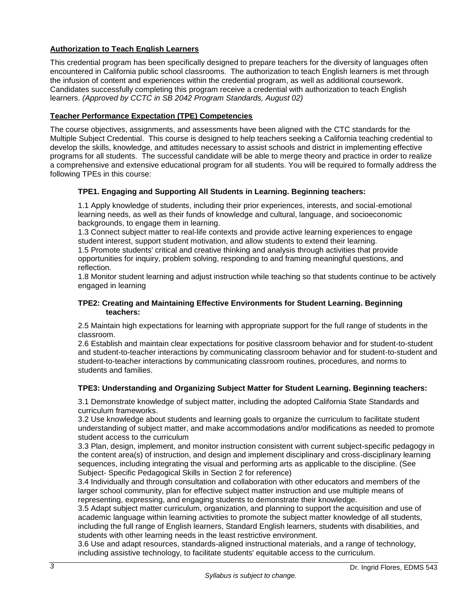# <span id="page-4-0"></span>**Authorization to Teach English Learners**

This credential program has been specifically designed to prepare teachers for the diversity of languages often encountered in California public school classrooms. The authorization to teach English learners is met through the infusion of content and experiences within the credential program, as well as additional coursework. Candidates successfully completing this program receive a credential with authorization to teach English learners. *(Approved by CCTC in SB 2042 Program Standards, August 02)*

# <span id="page-4-1"></span>**Teacher Performance Expectation (TPE) Competencies**

The course objectives, assignments, and assessments have been aligned with the CTC standards for the Multiple Subject Credential. This course is designed to help teachers seeking a California teaching credential to develop the skills, knowledge, and attitudes necessary to assist schools and district in implementing effective programs for all students. The successful candidate will be able to merge theory and practice in order to realize a comprehensive and extensive educational program for all students. You will be required to formally address the following TPEs in this course:

# <span id="page-4-2"></span>**TPE1. Engaging and Supporting All Students in Learning. Beginning teachers:**

1.1 Apply knowledge of students, including their prior experiences, interests, and social-emotional learning needs, as well as their funds of knowledge and cultural, language, and socioeconomic backgrounds, to engage them in learning.

1.3 Connect subject matter to real-life contexts and provide active learning experiences to engage student interest, support student motivation, and allow students to extend their learning.

1.5 Promote students' critical and creative thinking and analysis through activities that provide opportunities for inquiry, problem solving, responding to and framing meaningful questions, and reflection.

1.8 Monitor student learning and adjust instruction while teaching so that students continue to be actively engaged in learning

#### <span id="page-4-3"></span>**TPE2: Creating and Maintaining Effective Environments for Student Learning. Beginning teachers:**

2.5 Maintain high expectations for learning with appropriate support for the full range of students in the classroom.

2.6 Establish and maintain clear expectations for positive classroom behavior and for student-to-student and student-to-teacher interactions by communicating classroom behavior and for student-to-student and student-to-teacher interactions by communicating classroom routines, procedures, and norms to students and families.

### <span id="page-4-4"></span>**TPE3: Understanding and Organizing Subject Matter for Student Learning. Beginning teachers:**

3.1 Demonstrate knowledge of subject matter, including the adopted California State Standards and curriculum frameworks.

3.2 Use knowledge about students and learning goals to organize the curriculum to facilitate student understanding of subject matter, and make accommodations and/or modifications as needed to promote student access to the curriculum

3.3 Plan, design, implement, and monitor instruction consistent with current subject-specific pedagogy in the content area(s) of instruction, and design and implement disciplinary and cross-disciplinary learning sequences, including integrating the visual and performing arts as applicable to the discipline. (See Subject- Specific Pedagogical Skills in Section 2 for reference)

3.4 Individually and through consultation and collaboration with other educators and members of the larger school community, plan for effective subject matter instruction and use multiple means of representing, expressing, and engaging students to demonstrate their knowledge.

3.5 Adapt subject matter curriculum, organization, and planning to support the acquisition and use of academic language within learning activities to promote the subject matter knowledge of all students, including the full range of English learners, Standard English learners, students with disabilities, and students with other learning needs in the least restrictive environment.

3.6 Use and adapt resources, standards-aligned instructional materials, and a range of technology, including assistive technology, to facilitate students' equitable access to the curriculum.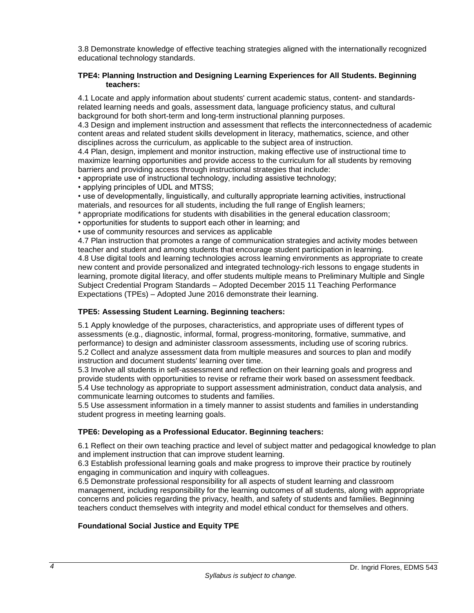3.8 Demonstrate knowledge of effective teaching strategies aligned with the internationally recognized educational technology standards.

#### <span id="page-5-0"></span>**TPE4: Planning Instruction and Designing Learning Experiences for All Students. Beginning teachers:**

4.1 Locate and apply information about students' current academic status, content- and standardsrelated learning needs and goals, assessment data, language proficiency status, and cultural background for both short-term and long-term instructional planning purposes.

4.3 Design and implement instruction and assessment that reflects the interconnectedness of academic content areas and related student skills development in literacy, mathematics, science, and other disciplines across the curriculum, as applicable to the subject area of instruction.

4.4 Plan, design, implement and monitor instruction, making effective use of instructional time to maximize learning opportunities and provide access to the curriculum for all students by removing barriers and providing access through instructional strategies that include:

• appropriate use of instructional technology, including assistive technology;

• applying principles of UDL and MTSS;

• use of developmentally, linguistically, and culturally appropriate learning activities, instructional materials, and resources for all students, including the full range of English learners;

\* appropriate modifications for students with disabilities in the general education classroom;

• opportunities for students to support each other in learning; and

• use of community resources and services as applicable

4.7 Plan instruction that promotes a range of communication strategies and activity modes between teacher and student and among students that encourage student participation in learning. 4.8 Use digital tools and learning technologies across learning environments as appropriate to create new content and provide personalized and integrated technology-rich lessons to engage students in learning, promote digital literacy, and offer students multiple means to Preliminary Multiple and Single Subject Credential Program Standards – Adopted December 2015 11 Teaching Performance Expectations (TPEs) – Adopted June 2016 demonstrate their learning.

### <span id="page-5-1"></span>**TPE5: Assessing Student Learning. Beginning teachers:**

5.1 Apply knowledge of the purposes, characteristics, and appropriate uses of different types of assessments (e.g., diagnostic, informal, formal, progress-monitoring, formative, summative, and performance) to design and administer classroom assessments, including use of scoring rubrics. 5.2 Collect and analyze assessment data from multiple measures and sources to plan and modify instruction and document students' learning over time.

5.3 Involve all students in self-assessment and reflection on their learning goals and progress and provide students with opportunities to revise or reframe their work based on assessment feedback. 5.4 Use technology as appropriate to support assessment administration, conduct data analysis, and communicate learning outcomes to students and families.

5.5 Use assessment information in a timely manner to assist students and families in understanding student progress in meeting learning goals.

### <span id="page-5-2"></span>**TPE6: Developing as a Professional Educator. Beginning teachers:**

6.1 Reflect on their own teaching practice and level of subject matter and pedagogical knowledge to plan and implement instruction that can improve student learning.

6.3 Establish professional learning goals and make progress to improve their practice by routinely engaging in communication and inquiry with colleagues.

6.5 Demonstrate professional responsibility for all aspects of student learning and classroom management, including responsibility for the learning outcomes of all students, along with appropriate concerns and policies regarding the privacy, health, and safety of students and families. Beginning teachers conduct themselves with integrity and model ethical conduct for themselves and others.

### <span id="page-5-3"></span>**Foundational Social Justice and Equity TPE**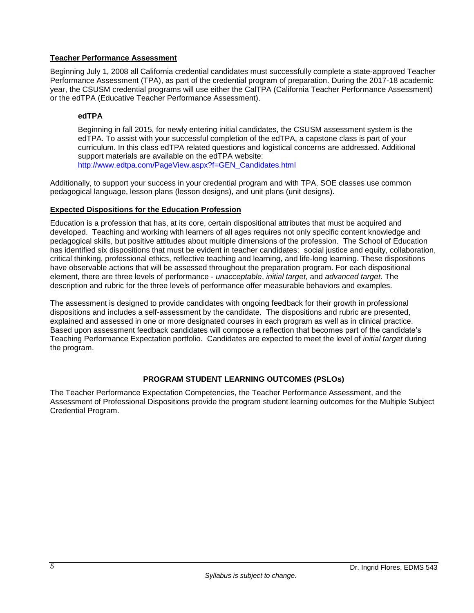### <span id="page-6-0"></span>**Teacher Performance Assessment**

Beginning July 1, 2008 all California credential candidates must successfully complete a state-approved Teacher Performance Assessment (TPA), as part of the credential program of preparation. During the 2017-18 academic year, the CSUSM credential programs will use either the CalTPA (California Teacher Performance Assessment) or the edTPA (Educative Teacher Performance Assessment).

### <span id="page-6-1"></span>**edTPA**

Beginning in fall 2015, for newly entering initial candidates, the CSUSM assessment system is the edTPA. To assist with your successful completion of the edTPA, a capstone class is part of your curriculum. In this class edTPA related questions and logistical concerns are addressed. Additional support materials are available on the edTPA website: [http://www.edtpa.com/PageView.aspx?f=GEN\\_Candidates.html](http://www.edtpa.com/PageView.aspx?f=GEN_Candidates.html)

Additionally, to support your success in your credential program and with TPA, SOE classes use common pedagogical language, lesson plans (lesson designs), and unit plans (unit designs).

### <span id="page-6-2"></span>**Expected Dispositions for the Education Profession**

Education is a profession that has, at its core, certain dispositional attributes that must be acquired and developed. Teaching and working with learners of all ages requires not only specific content knowledge and pedagogical skills, but positive attitudes about multiple dimensions of the profession. The School of Education has identified six dispositions that must be evident in teacher candidates: social justice and equity, collaboration, critical thinking, professional ethics, reflective teaching and learning, and life-long learning. These dispositions have observable actions that will be assessed throughout the preparation program. For each dispositional element, there are three levels of performance - *unacceptable*, *initial target*, and *advanced target*. The description and rubric for the three levels of performance offer measurable behaviors and examples.

The assessment is designed to provide candidates with ongoing feedback for their growth in professional dispositions and includes a self-assessment by the candidate. The dispositions and rubric are presented, explained and assessed in one or more designated courses in each program as well as in clinical practice. Based upon assessment feedback candidates will compose a reflection that becomes part of the candidate's Teaching Performance Expectation portfolio. Candidates are expected to meet the level of *initial target* during the program.

# **PROGRAM STUDENT LEARNING OUTCOMES (PSLOs)**

<span id="page-6-3"></span>The Teacher Performance Expectation Competencies, the Teacher Performance Assessment, and the Assessment of Professional Dispositions provide the program student learning outcomes for the Multiple Subject Credential Program.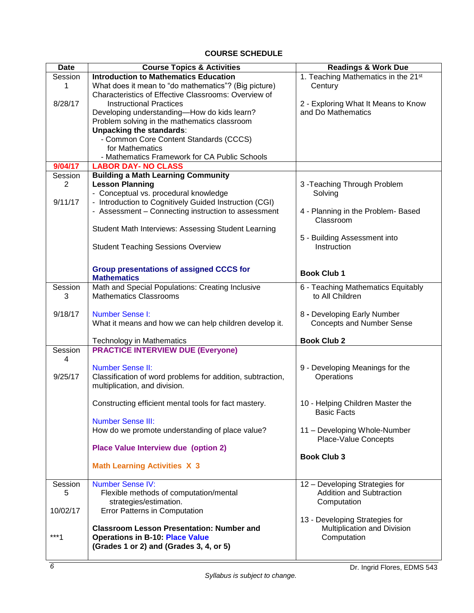# **COURSE SCHEDULE**

<span id="page-7-0"></span>

| <b>Date</b>    | <b>Course Topics &amp; Activities</b>                                                           | <b>Readings &amp; Work Due</b>                  |  |
|----------------|-------------------------------------------------------------------------------------------------|-------------------------------------------------|--|
| Session        | <b>Introduction to Mathematics Education</b>                                                    | 1. Teaching Mathematics in the 21 <sup>st</sup> |  |
| 1              | What does it mean to "do mathematics"? (Big picture)                                            | Century                                         |  |
|                | Characteristics of Effective Classrooms: Overview of                                            |                                                 |  |
| 8/28/17        | <b>Instructional Practices</b>                                                                  | 2 - Exploring What It Means to Know             |  |
|                | Developing understanding-How do kids learn?                                                     | and Do Mathematics                              |  |
|                | Problem solving in the mathematics classroom                                                    |                                                 |  |
|                | <b>Unpacking the standards:</b>                                                                 |                                                 |  |
|                | - Common Core Content Standards (CCCS)                                                          |                                                 |  |
|                | for Mathematics                                                                                 |                                                 |  |
|                | - Mathematics Framework for CA Public Schools                                                   |                                                 |  |
| 9/04/17        | <b>LABOR DAY- NO CLASS</b>                                                                      |                                                 |  |
| Session        | <b>Building a Math Learning Community</b>                                                       |                                                 |  |
| $\overline{2}$ | <b>Lesson Planning</b>                                                                          | 3-Teaching Through Problem                      |  |
| 9/11/17        | - Conceptual vs. procedural knowledge<br>- Introduction to Cognitively Guided Instruction (CGI) | Solving                                         |  |
|                | - Assessment - Connecting instruction to assessment                                             | 4 - Planning in the Problem- Based              |  |
|                |                                                                                                 | Classroom                                       |  |
|                | Student Math Interviews: Assessing Student Learning                                             |                                                 |  |
|                |                                                                                                 | 5 - Building Assessment into                    |  |
|                | <b>Student Teaching Sessions Overview</b>                                                       | Instruction                                     |  |
|                |                                                                                                 |                                                 |  |
|                |                                                                                                 |                                                 |  |
|                | <b>Group presentations of assigned CCCS for</b>                                                 | <b>Book Club 1</b>                              |  |
|                | <b>Mathematics</b>                                                                              |                                                 |  |
| Session        | Math and Special Populations: Creating Inclusive                                                | 6 - Teaching Mathematics Equitably              |  |
| 3              | <b>Mathematics Classrooms</b>                                                                   | to All Children                                 |  |
| 9/18/17        | <b>Number Sense I:</b>                                                                          | 8 - Developing Early Number                     |  |
|                | What it means and how we can help children develop it.                                          | <b>Concepts and Number Sense</b>                |  |
|                |                                                                                                 |                                                 |  |
|                | <b>Technology in Mathematics</b>                                                                | <b>Book Club 2</b>                              |  |
| Session        | <b>PRACTICE INTERVIEW DUE (Everyone)</b>                                                        |                                                 |  |
| 4              |                                                                                                 |                                                 |  |
|                | <b>Number Sense II:</b>                                                                         | 9 - Developing Meanings for the                 |  |
| 9/25/17        | Classification of word problems for addition, subtraction,                                      | Operations                                      |  |
|                | multiplication, and division.                                                                   |                                                 |  |
|                |                                                                                                 |                                                 |  |
|                | Constructing efficient mental tools for fact mastery.                                           | 10 - Helping Children Master the                |  |
|                |                                                                                                 | <b>Basic Facts</b>                              |  |
|                | <b>Number Sense III:</b>                                                                        |                                                 |  |
|                | How do we promote understanding of place value?                                                 | 11 - Developing Whole-Number                    |  |
|                |                                                                                                 | <b>Place-Value Concepts</b>                     |  |
|                | Place Value Interview due (option 2)                                                            |                                                 |  |
|                |                                                                                                 | <b>Book Club 3</b>                              |  |
|                | <b>Math Learning Activities X 3</b>                                                             |                                                 |  |
| Session        | <b>Number Sense IV:</b>                                                                         | 12 - Developing Strategies for                  |  |
| 5              | Flexible methods of computation/mental                                                          | Addition and Subtraction                        |  |
|                | strategies/estimation.                                                                          | Computation                                     |  |
| 10/02/17       | Error Patterns in Computation                                                                   |                                                 |  |
|                |                                                                                                 | 13 - Developing Strategies for                  |  |
|                | <b>Classroom Lesson Presentation: Number and</b>                                                | Multiplication and Division                     |  |
| $***1$         | <b>Operations in B-10: Place Value</b>                                                          | Computation                                     |  |
|                | (Grades 1 or 2) and (Grades 3, 4, or 5)                                                         |                                                 |  |
|                |                                                                                                 |                                                 |  |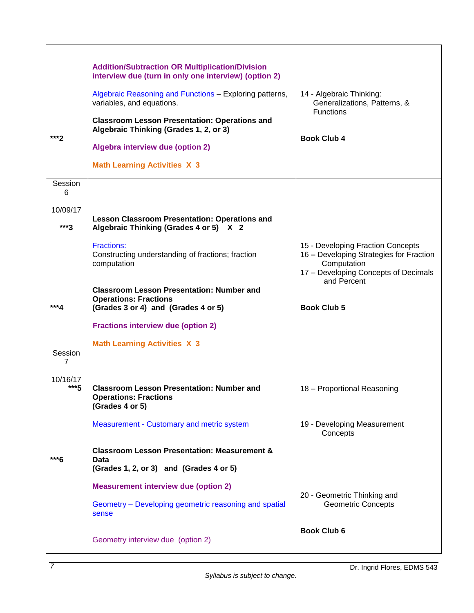| ***2                  | <b>Addition/Subtraction OR Multiplication/Division</b><br>interview due (turn in only one interview) (option 2)<br>Algebraic Reasoning and Functions - Exploring patterns,<br>variables, and equations.<br><b>Classroom Lesson Presentation: Operations and</b><br>Algebraic Thinking (Grades 1, 2, or 3)<br>Algebra interview due (option 2)<br><b>Math Learning Activities X 3</b> | 14 - Algebraic Thinking:<br>Generalizations, Patterns, &<br>Functions<br><b>Book Club 4</b>                                                        |
|-----------------------|--------------------------------------------------------------------------------------------------------------------------------------------------------------------------------------------------------------------------------------------------------------------------------------------------------------------------------------------------------------------------------------|----------------------------------------------------------------------------------------------------------------------------------------------------|
| Session<br>6          |                                                                                                                                                                                                                                                                                                                                                                                      |                                                                                                                                                    |
| 10/09/17<br>$***3$    | <b>Lesson Classroom Presentation: Operations and</b><br>Algebraic Thinking (Grades 4 or 5) X 2                                                                                                                                                                                                                                                                                       |                                                                                                                                                    |
|                       | Fractions:<br>Constructing understanding of fractions; fraction<br>computation                                                                                                                                                                                                                                                                                                       | 15 - Developing Fraction Concepts<br>16 - Developing Strategies for Fraction<br>Computation<br>17 - Developing Concepts of Decimals<br>and Percent |
|                       | <b>Classroom Lesson Presentation: Number and</b><br><b>Operations: Fractions</b>                                                                                                                                                                                                                                                                                                     |                                                                                                                                                    |
| ***4                  | (Grades 3 or 4) and (Grades 4 or 5)                                                                                                                                                                                                                                                                                                                                                  | <b>Book Club 5</b>                                                                                                                                 |
|                       |                                                                                                                                                                                                                                                                                                                                                                                      |                                                                                                                                                    |
|                       | <b>Fractions interview due (option 2)</b>                                                                                                                                                                                                                                                                                                                                            |                                                                                                                                                    |
| Session               | <b>Math Learning Activities X 3</b>                                                                                                                                                                                                                                                                                                                                                  |                                                                                                                                                    |
| 7<br>10/16/17<br>***5 | <b>Classroom Lesson Presentation: Number and</b><br><b>Operations: Fractions</b><br>(Grades 4 or 5)                                                                                                                                                                                                                                                                                  | 18 - Proportional Reasoning                                                                                                                        |
|                       | Measurement - Customary and metric system                                                                                                                                                                                                                                                                                                                                            | 19 - Developing Measurement<br>Concepts                                                                                                            |
|                       | <b>Classroom Lesson Presentation: Measurement &amp;</b>                                                                                                                                                                                                                                                                                                                              |                                                                                                                                                    |
| ***6                  | Data<br>(Grades 1, 2, or 3) and (Grades 4 or 5)                                                                                                                                                                                                                                                                                                                                      |                                                                                                                                                    |
|                       | <b>Measurement interview due (option 2)</b>                                                                                                                                                                                                                                                                                                                                          |                                                                                                                                                    |
|                       | Geometry - Developing geometric reasoning and spatial<br>sense                                                                                                                                                                                                                                                                                                                       | 20 - Geometric Thinking and<br><b>Geometric Concepts</b>                                                                                           |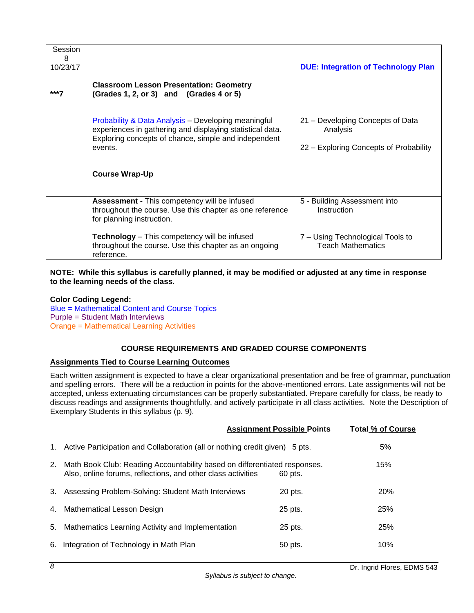| Session<br>8<br>10/23/17 |                                                                                                                                                                                     | <b>DUE: Integration of Technology Plan</b>                                             |
|--------------------------|-------------------------------------------------------------------------------------------------------------------------------------------------------------------------------------|----------------------------------------------------------------------------------------|
| ***7                     | <b>Classroom Lesson Presentation: Geometry</b><br>(Grades 1, 2, or 3) and (Grades 4 or 5)                                                                                           |                                                                                        |
|                          | Probability & Data Analysis - Developing meaningful<br>experiences in gathering and displaying statistical data.<br>Exploring concepts of chance, simple and independent<br>events. | 21 - Developing Concepts of Data<br>Analysis<br>22 - Exploring Concepts of Probability |
|                          | <b>Course Wrap-Up</b>                                                                                                                                                               |                                                                                        |
|                          | Assessment - This competency will be infused<br>throughout the course. Use this chapter as one reference<br>for planning instruction.                                               | 5 - Building Assessment into<br>Instruction                                            |
|                          | Technology - This competency will be infused<br>throughout the course. Use this chapter as an ongoing<br>reference.                                                                 | 7 - Using Technological Tools to<br><b>Teach Mathematics</b>                           |

**NOTE: While this syllabus is carefully planned, it may be modified or adjusted at any time in response to the learning needs of the class.**

**Color Coding Legend:** Blue = Mathematical Content and Course Topics Purple = Student Math Interviews Orange = Mathematical Learning Activities

# **COURSE REQUIREMENTS AND GRADED COURSE COMPONENTS**

### <span id="page-9-1"></span><span id="page-9-0"></span>**Assignments Tied to Course Learning Outcomes**

Each written assignment is expected to have a clear organizational presentation and be free of grammar, punctuation and spelling errors. There will be a reduction in points for the above-mentioned errors. Late assignments will not be accepted, unless extenuating circumstances can be properly substantiated. Prepare carefully for class, be ready to discuss readings and assignments thoughtfully, and actively participate in all class activities. Note the Description of Exemplary Students in this syllabus (p. 9).

|    |                                                                                                                                           | <b>Assignment Possible Points</b> | <b>Total % of Course</b> |
|----|-------------------------------------------------------------------------------------------------------------------------------------------|-----------------------------------|--------------------------|
|    | 1. Active Participation and Collaboration (all or nothing credit given) 5 pts.                                                            |                                   | 5%                       |
| 2. | Math Book Club: Reading Accountability based on differentiated responses.<br>Also, online forums, reflections, and other class activities | 60 pts.                           | 15%                      |
|    | 3. Assessing Problem-Solving: Student Math Interviews                                                                                     | 20 pts.                           | 20%                      |
|    | 4. Mathematical Lesson Design                                                                                                             | 25 pts.                           | 25%                      |
| 5. | Mathematics Learning Activity and Implementation                                                                                          | 25 pts.                           | 25%                      |
| 6. | Integration of Technology in Math Plan                                                                                                    | 50 pts.                           | 10%                      |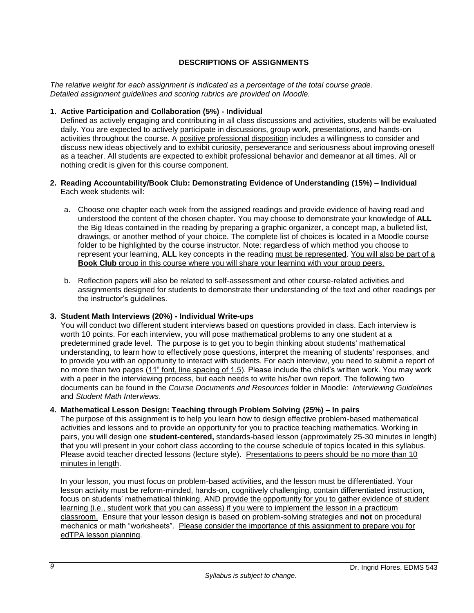# **DESCRIPTIONS OF ASSIGNMENTS**

<span id="page-10-0"></span>*The relative weight for each assignment is indicated as a percentage of the total course grade. Detailed assignment guidelines and scoring rubrics are provided on Moodle.* 

### **1. Active Participation and Collaboration (5%) - Individual**

Defined as actively engaging and contributing in all class discussions and activities, students will be evaluated daily. You are expected to actively participate in discussions, group work, presentations, and hands-on activities throughout the course. A positive professional disposition includes a willingness to consider and discuss new ideas objectively and to exhibit curiosity, perseverance and seriousness about improving oneself as a teacher. All students are expected to exhibit professional behavior and demeanor at all times. All or nothing credit is given for this course component.

#### **2. Reading Accountability/Book Club: Demonstrating Evidence of Understanding (15%) – Individual** Each week students will:

- a. Choose one chapter each week from the assigned readings and provide evidence of having read and understood the content of the chosen chapter. You may choose to demonstrate your knowledge of **ALL** the Big Ideas contained in the reading by preparing a graphic organizer, a concept map, a bulleted list, drawings, or another method of your choice. The complete list of choices is located in a Moodle course folder to be highlighted by the course instructor. Note: regardless of which method you choose to represent your learning, **ALL** key concepts in the reading must be represented. You will also be part of a **Book Club** group in this course where you will share your learning with your group peers.
- b. Reflection papers will also be related to self-assessment and other course-related activities and assignments designed for students to demonstrate their understanding of the text and other readings per the instructor's guidelines.

### **3. Student Math Interviews (20%) - Individual Write-ups**

You will conduct two different student interviews based on questions provided in class. Each interview is worth 10 points. For each interview, you will pose mathematical problems to any one student at a predetermined grade level. The purpose is to get you to begin thinking about students' mathematical understanding, to learn how to effectively pose questions, interpret the meaning of students' responses, and to provide you with an opportunity to interact with students. For each interview, you need to submit a report of no more than two pages (11" font, line spacing of 1.5). Please include the child's written work. You may work with a peer in the interviewing process, but each needs to write his/her own report. The following two documents can be found in the *Course Documents and Resources* folder in Moodle: *Interviewing Guidelines* and *Student Math Interviews*.

### **4. Mathematical Lesson Design: Teaching through Problem Solving (25%) – In pairs**

The purpose of this assignment is to help you learn how to design effective problem-based mathematical activities and lessons and to provide an opportunity for you to practice teaching mathematics. Working in pairs, you will design one **student-centered,** standards-based lesson (approximately 25-30 minutes in length) that you will present in your cohort class according to the course schedule of topics located in this syllabus. Please avoid teacher directed lessons (lecture style). Presentations to peers should be no more than 10 minutes in length.

In your lesson, you must focus on problem-based activities, and the lesson must be differentiated. Your lesson activity must be reform-minded, hands-on, cognitively challenging, contain differentiated instruction, focus on students' mathematical thinking, AND provide the opportunity for you to gather evidence of student learning (i.e., student work that you can assess) if you were to implement the lesson in a practicum classroom. Ensure that your lesson design is based on problem-solving strategies and **not** on procedural mechanics or math "worksheets". Please consider the importance of this assignment to prepare you for edTPA lesson planning.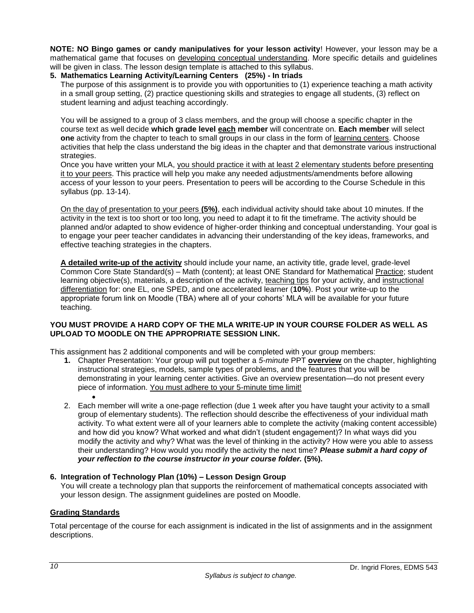**NOTE: NO Bingo games or candy manipulatives for your lesson activity**! However, your lesson may be a mathematical game that focuses on developing conceptual understanding. More specific details and guidelines will be given in class. The lesson design template is attached to this syllabus.

#### **5. Mathematics Learning Activity/Learning Centers (25%) - In triads**

The purpose of this assignment is to provide you with opportunities to (1) experience teaching a math activity in a small group setting, (2) practice questioning skills and strategies to engage all students, (3) reflect on student learning and adjust teaching accordingly.

You will be assigned to a group of 3 class members, and the group will choose a specific chapter in the course text as well decide **which grade level each member** will concentrate on. **Each member** will select **one** activity from the chapter to teach to small groups in our class in the form of learning centers. Choose activities that help the class understand the big ideas in the chapter and that demonstrate various instructional strategies.

Once you have written your MLA, you should practice it with at least 2 elementary students before presenting it to your peers. This practice will help you make any needed adjustments/amendments before allowing access of your lesson to your peers. Presentation to peers will be according to the Course Schedule in this syllabus (pp. 13-14).

On the day of presentation to your peers **(5%)**, each individual activity should take about 10 minutes. If the activity in the text is too short or too long, you need to adapt it to fit the timeframe. The activity should be planned and/or adapted to show evidence of higher-order thinking and conceptual understanding. Your goal is to engage your peer teacher candidates in advancing their understanding of the key ideas, frameworks, and effective teaching strategies in the chapters.

**A detailed write-up of the activity** should include your name, an activity title, grade level, grade-level Common Core State Standard(s) – Math (content); at least ONE Standard for Mathematical Practice; student learning objective(s), materials, a description of the activity, teaching tips for your activity, and instructional differentiation for: one EL, one SPED, and one accelerated learner (**10%**). Post your write-up to the appropriate forum link on Moodle (TBA) where all of your cohorts' MLA will be available for your future teaching.

### **YOU MUST PROVIDE A HARD COPY OF THE MLA WRITE-UP IN YOUR COURSE FOLDER AS WELL AS UPLOAD TO MOODLE ON THE APPROPRIATE SESSION LINK.**

This assignment has 2 additional components and will be completed with your group members:

- **1.** Chapter Presentation: Your group will put together a *5-minute* PPT **overview** on the chapter, highlighting instructional strategies, models, sample types of problems, and the features that you will be demonstrating in your learning center activities. Give an overview presentation—do not present every piece of information. You must adhere to your 5-minute time limit!
- $\bullet$ 2. Each member will write a one-page reflection (due 1 week after you have taught your activity to a small group of elementary students). The reflection should describe the effectiveness of your individual math activity. To what extent were all of your learners able to complete the activity (making content accessible) and how did you know? What worked and what didn't (student engagement)? In what ways did you modify the activity and why? What was the level of thinking in the activity? How were you able to assess their understanding? How would you modify the activity the next time? *Please submit a hard copy of your reflection to the course instructor in your course folder.* **(5%).**

### **6. Integration of Technology Plan (10%) – Lesson Design Group**

You will create a technology plan that supports the reinforcement of mathematical concepts associated with your lesson design. The assignment guidelines are posted on Moodle.

### <span id="page-11-0"></span>**Grading Standards**

Total percentage of the course for each assignment is indicated in the list of assignments and in the assignment descriptions.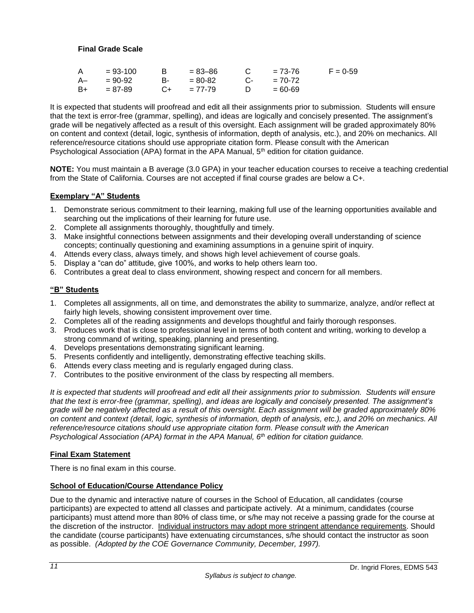# <span id="page-12-0"></span>**Final Grade Scale**

| A  | $= 93 - 100$ |            | = 83–86         |            | $= 73 - 76$ | $F = 0.59$ |
|----|--------------|------------|-----------------|------------|-------------|------------|
|    | $A - 90-92$  | <b>B</b> - | = 80-82         | $C_{\tau}$ | $= 70 - 72$ |            |
| B+ | $= 87 - 89$  |            | $C_{+}$ = 77-79 |            | $=60-69$    |            |

It is expected that students will proofread and edit all their assignments prior to submission. Students will ensure that the text is error-free (grammar, spelling), and ideas are logically and concisely presented. The assignment's grade will be negatively affected as a result of this oversight. Each assignment will be graded approximately 80% on content and context (detail, logic, synthesis of information, depth of analysis, etc.), and 20% on mechanics. All reference/resource citations should use appropriate citation form. Please consult with the American Psychological Association (APA) format in the APA Manual,  $5<sup>th</sup>$  edition for citation guidance.

**NOTE:** You must maintain a B average (3.0 GPA) in your teacher education courses to receive a teaching credential from the State of California. Courses are not accepted if final course grades are below a C+.

### <span id="page-12-1"></span>**Exemplary "A" Students**

- 1. Demonstrate serious commitment to their learning, making full use of the learning opportunities available and searching out the implications of their learning for future use.
- 2. Complete all assignments thoroughly, thoughtfully and timely.
- 3. Make insightful connections between assignments and their developing overall understanding of science concepts; continually questioning and examining assumptions in a genuine spirit of inquiry.
- 4. Attends every class, always timely, and shows high level achievement of course goals.
- 5. Display a "can do" attitude, give 100%, and works to help others learn too.
- 6. Contributes a great deal to class environment, showing respect and concern for all members.

#### <span id="page-12-2"></span>**"B" Students**

- 1. Completes all assignments, all on time, and demonstrates the ability to summarize, analyze, and/or reflect at fairly high levels, showing consistent improvement over time.
- 2. Completes all of the reading assignments and develops thoughtful and fairly thorough responses.
- 3. Produces work that is close to professional level in terms of both content and writing, working to develop a strong command of writing, speaking, planning and presenting.
- 4. Develops presentations demonstrating significant learning.
- 5. Presents confidently and intelligently, demonstrating effective teaching skills.
- 6. Attends every class meeting and is regularly engaged during class.
- 7. Contributes to the positive environment of the class by respecting all members.

*It is expected that students will proofread and edit all their assignments prior to submission. Students will ensure that the text is error-free (grammar, spelling), and ideas are logically and concisely presented. The assignment's grade will be negatively affected as a result of this oversight. Each assignment will be graded approximately 80% on content and context (detail, logic, synthesis of information, depth of analysis, etc.), and 20% on mechanics. All reference/resource citations should use appropriate citation form. Please consult with the American Psychological Association (APA) format in the APA Manual, 6th edition for citation guidance.*

#### <span id="page-12-3"></span>**Final Exam Statement**

There is no final exam in this course.

#### <span id="page-12-4"></span>**School of Education/Course Attendance Policy**

Due to the dynamic and interactive nature of courses in the School of Education, all candidates (course participants) are expected to attend all classes and participate actively. At a minimum, candidates (course participants) must attend more than 80% of class time, or s/he may not receive a passing grade for the course at the discretion of the instructor. Individual instructors may adopt more stringent attendance requirements. Should the candidate (course participants) have extenuating circumstances, s/he should contact the instructor as soon as possible. *(Adopted by the COE Governance Community, December, 1997).*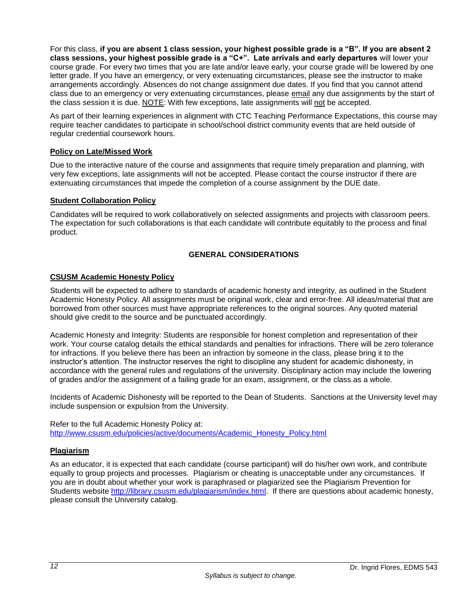For this class, **if you are absent 1 class session, your highest possible grade is a "B". If you are absent 2 class sessions, your highest possible grade is a "C+". Late arrivals and early departures** will lower your course grade. For every two times that you are late and/or leave early, your course grade will be lowered by one letter grade. If you have an emergency, or very extenuating circumstances, please see the instructor to make arrangements accordingly. Absences do not change assignment due dates. If you find that you cannot attend class due to an emergency or very extenuating circumstances, please email any due assignments by the start of the class session it is due. NOTE: With few exceptions, late assignments will not be accepted.

As part of their learning experiences in alignment with CTC Teaching Performance Expectations, this course may require teacher candidates to participate in school/school district community events that are held outside of regular credential coursework hours.

### <span id="page-13-0"></span>**Policy on Late/Missed Work**

Due to the interactive nature of the course and assignments that require timely preparation and planning, with very few exceptions, late assignments will not be accepted. Please contact the course instructor if there are extenuating circumstances that impede the completion of a course assignment by the DUE date.

# <span id="page-13-1"></span>**Student Collaboration Policy**

Candidates will be required to work collaboratively on selected assignments and projects with classroom peers. The expectation for such collaborations is that each candidate will contribute equitably to the process and final product.

# **GENERAL CONSIDERATIONS**

# <span id="page-13-3"></span><span id="page-13-2"></span>**CSUSM Academic Honesty Policy**

Students will be expected to adhere to standards of academic honesty and integrity, as outlined in the Student Academic Honesty Policy. All assignments must be original work, clear and error-free. All ideas/material that are borrowed from other sources must have appropriate references to the original sources. Any quoted material should give credit to the source and be punctuated accordingly.

Academic Honesty and Integrity: Students are responsible for honest completion and representation of their work. Your course catalog details the ethical standards and penalties for infractions. There will be zero tolerance for infractions. If you believe there has been an infraction by someone in the class, please bring it to the instructor's attention. The instructor reserves the right to discipline any student for academic dishonesty, in accordance with the general rules and regulations of the university. Disciplinary action may include the lowering of grades and/or the assignment of a failing grade for an exam, assignment, or the class as a whole.

Incidents of Academic Dishonesty will be reported to the Dean of Students. Sanctions at the University level may include suspension or expulsion from the University.

Refer to the full Academic Honesty Policy at: [http://www.csusm.edu/policies/active/documents/Academic\\_Honesty\\_Policy.html](http://www.csusm.edu/policies/active/documents/Academic_Honesty_Policy.html)

### <span id="page-13-4"></span>**Plagiarism**

As an educator, it is expected that each candidate (course participant) will do his/her own work, and contribute equally to group projects and processes. Plagiarism or cheating is unacceptable under any circumstances. If you are in doubt about whether your work is paraphrased or plagiarized see the Plagiarism Prevention for Students website [http://library.csusm.edu/plagiarism/index.html.](http://library.csusm.edu/plagiarism/index.html) If there are questions about academic honesty, please consult the University catalog.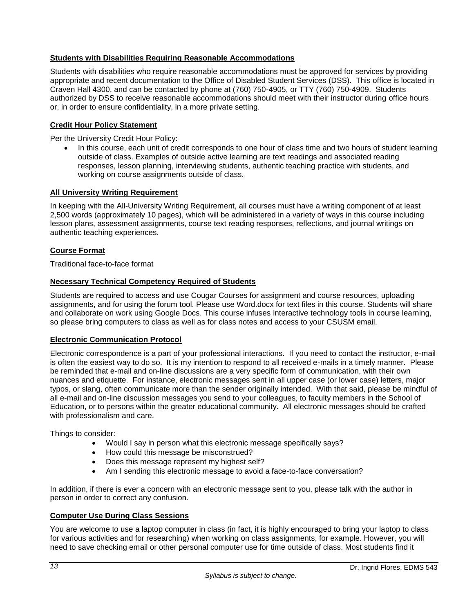### <span id="page-14-0"></span>**Students with Disabilities Requiring Reasonable Accommodations**

Students with disabilities who require reasonable accommodations must be approved for services by providing appropriate and recent documentation to the Office of Disabled Student Services (DSS). This office is located in Craven Hall 4300, and can be contacted by phone at (760) 750-4905, or TTY (760) 750-4909. Students authorized by DSS to receive reasonable accommodations should meet with their instructor during office hours or, in order to ensure confidentiality, in a more private setting.

# <span id="page-14-1"></span>**Credit Hour Policy Statement**

Per the University Credit Hour Policy:

• In this course, each unit of credit corresponds to one hour of class time and two hours of student learning outside of class. Examples of outside active learning are text readings and associated reading responses, lesson planning, interviewing students, authentic teaching practice with students, and working on course assignments outside of class.

#### <span id="page-14-2"></span>**All University Writing Requirement**

In keeping with the All-University Writing Requirement, all courses must have a writing component of at least 2,500 words (approximately 10 pages), which will be administered in a variety of ways in this course including lesson plans, assessment assignments, course text reading responses, reflections, and journal writings on authentic teaching experiences.

### <span id="page-14-3"></span>**Course Format**

Traditional face-to-face format

#### <span id="page-14-4"></span>**Necessary Technical Competency Required of Students**

Students are required to access and use Cougar Courses for assignment and course resources, uploading assignments, and for using the forum tool. Please use Word.docx for text files in this course. Students will share and collaborate on work using Google Docs. This course infuses interactive technology tools in course learning, so please bring computers to class as well as for class notes and access to your CSUSM email.

#### <span id="page-14-5"></span>**Electronic Communication Protocol**

Electronic correspondence is a part of your professional interactions. If you need to contact the instructor, e-mail is often the easiest way to do so. It is my intention to respond to all received e-mails in a timely manner. Please be reminded that e-mail and on-line discussions are a very specific form of communication, with their own nuances and etiquette. For instance, electronic messages sent in all upper case (or lower case) letters, major typos, or slang, often communicate more than the sender originally intended. With that said, please be mindful of all e-mail and on-line discussion messages you send to your colleagues, to faculty members in the School of Education, or to persons within the greater educational community. All electronic messages should be crafted with professionalism and care.

Things to consider:

- Would I say in person what this electronic message specifically says?
- How could this message be misconstrued?
- Does this message represent my highest self?
- Am I sending this electronic message to avoid a face-to-face conversation?

In addition, if there is ever a concern with an electronic message sent to you, please talk with the author in person in order to correct any confusion.

### <span id="page-14-6"></span>**Computer Use During Class Sessions**

You are welcome to use a laptop computer in class (in fact, it is highly encouraged to bring your laptop to class for various activities and for researching) when working on class assignments, for example. However, you will need to save checking email or other personal computer use for time outside of class. Most students find it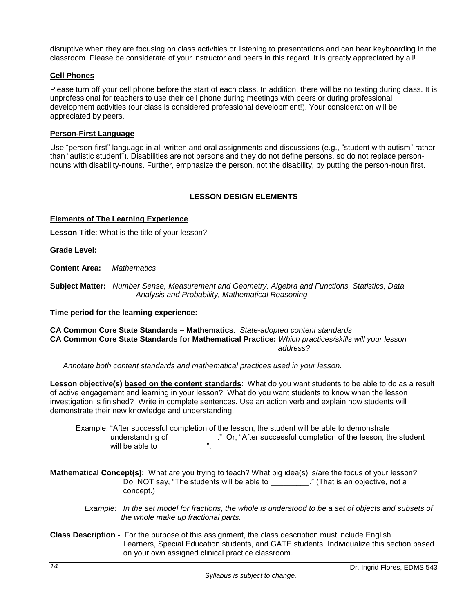disruptive when they are focusing on class activities or listening to presentations and can hear keyboarding in the classroom. Please be considerate of your instructor and peers in this regard. It is greatly appreciated by all!

#### <span id="page-15-0"></span>**Cell Phones**

Please turn off your cell phone before the start of each class. In addition, there will be no texting during class. It is unprofessional for teachers to use their cell phone during meetings with peers or during professional development activities (our class is considered professional development!). Your consideration will be appreciated by peers.

### <span id="page-15-1"></span>**Person-First Language**

Use "person-first" language in all written and oral assignments and discussions (e.g., "student with autism" rather than "autistic student"). Disabilities are not persons and they do not define persons, so do not replace personnouns with disability-nouns. Further, emphasize the person, not the disability, by putting the person-noun first.

# **LESSON DESIGN ELEMENTS**

#### <span id="page-15-3"></span><span id="page-15-2"></span>**Elements of The Learning Experience**

**Lesson Title**: What is the title of your lesson?

**Grade Level:**

**Content Area:** *Mathematics*

**Subject Matter:** *Number Sense, Measurement and Geometry, Algebra and Functions, Statistics, Data Analysis and Probability, Mathematical Reasoning*

**Time period for the learning experience:** 

**CA Common Core State Standards – Mathematics**: *State-adopted content standards* **CA Common Core State Standards for Mathematical Practice:** *Which practices/skills will your lesson address? address?* 

 *Annotate both content standards and mathematical practices used in your lesson.*

**Lesson objective(s) based on the content standards**: What do you want students to be able to do as a result of active engagement and learning in your lesson? What do you want students to know when the lesson investigation is finished? Write in complete sentences. Use an action verb and explain how students will demonstrate their new knowledge and understanding.

 Example: "After successful completion of the lesson, the student will be able to demonstrate understanding of \_\_\_\_\_\_\_\_\_\_\_." Or, "After successful completion of the lesson, the student will be able to  $\frac{1}{2}$ .

**Mathematical Concept(s):** What are you trying to teach? What big idea(s) is/are the focus of your lesson? Do NOT say, "The students will be able to \_\_\_\_\_\_\_\_\_." (That is an objective, not a concept.)

- *Example: In the set model for fractions, the whole is understood to be a set of objects and subsets of the whole make up fractional parts.*
- **Class Description** For the purpose of this assignment, the class description must include English Learners, Special Education students, and GATE students. Individualize this section based on your own assigned clinical practice classroom.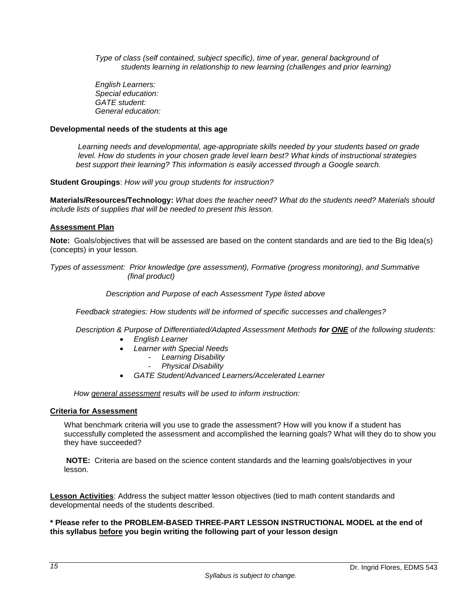*Type of class (self contained, subject specific), time of year, general background of students learning in relationship to new learning (challenges and prior learning)*

 *English Learners: Special education: GATE student: General education:* 

#### **Developmental needs of the students at this age**

*Learning needs and developmental, age-appropriate skills needed by your students based on grade level. How do students in your chosen grade level learn best? What kinds of instructional strategies best support their learning? This information is easily accessed through a Google search.*

**Student Groupings**: *How will you group students for instruction?*

**Materials/Resources/Technology:** *What does the teacher need? What do the students need? Materials should include lists of supplies that will be needed to present this lesson.*

#### <span id="page-16-0"></span>**Assessment Plan**

**Note:** Goals/objectives that will be assessed are based on the content standards and are tied to the Big Idea(s) (concepts) in your lesson.

*Types of assessment: Prior knowledge (pre assessment), Formative (progress monitoring), and Summative (final product)*

#### *Description and Purpose of each Assessment Type listed above*

 *Feedback strategies: How students will be informed of specific successes and challenges?*

 *Description & Purpose of Differentiated/Adapted Assessment Methods for ONE of the following students:*

- *English Learner*
- *Learner with Special Needs*
	- *Learning Disability*
		- *Physical Disability*
- *GATE Student/Advanced Learners/Accelerated Learner*

 *How general assessment results will be used to inform instruction:*

### <span id="page-16-1"></span>**Criteria for Assessment**

What benchmark criteria will you use to grade the assessment? How will you know if a student has successfully completed the assessment and accomplished the learning goals? What will they do to show you they have succeeded?

**NOTE:** Criteria are based on the science content standards and the learning goals/objectives in your lesson.

**Lesson Activities**: Address the subject matter lesson objectives (tied to math content standards and developmental needs of the students described.

**\* Please refer to the PROBLEM-BASED THREE-PART LESSON INSTRUCTIONAL MODEL at the end of this syllabus before you begin writing the following part of your lesson design**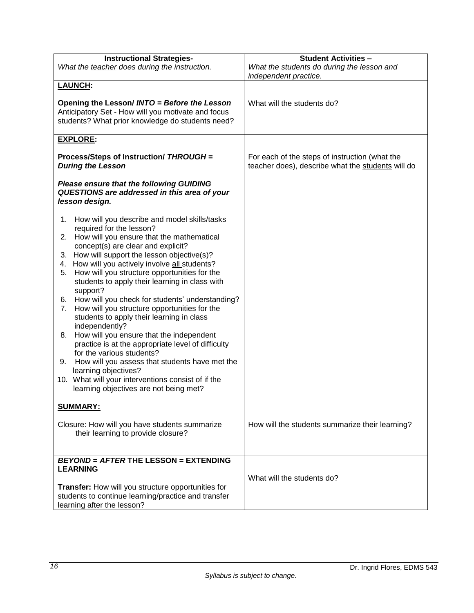| <b>Instructional Strategies-</b>                                                                                                                       | <b>Student Activities -</b>                                                                         |  |
|--------------------------------------------------------------------------------------------------------------------------------------------------------|-----------------------------------------------------------------------------------------------------|--|
| What the teacher does during the instruction.                                                                                                          | What the students do during the lesson and<br>independent practice.                                 |  |
| <b>LAUNCH:</b>                                                                                                                                         |                                                                                                     |  |
| Opening the Lesson/ INTO = Before the Lesson<br>Anticipatory Set - How will you motivate and focus<br>students? What prior knowledge do students need? | What will the students do?                                                                          |  |
| <b>EXPLORE:</b>                                                                                                                                        |                                                                                                     |  |
| Process/Steps of Instruction/ THROUGH =<br><b>During the Lesson</b>                                                                                    | For each of the steps of instruction (what the<br>teacher does), describe what the students will do |  |
| <b>Please ensure that the following GUIDING</b><br>QUESTIONS are addressed in this area of your<br>lesson design.                                      |                                                                                                     |  |
| How will you describe and model skills/tasks<br>1.                                                                                                     |                                                                                                     |  |
| required for the lesson?<br>2. How will you ensure that the mathematical<br>concept(s) are clear and explicit?                                         |                                                                                                     |  |
| 3. How will support the lesson objective(s)?                                                                                                           |                                                                                                     |  |
| How will you actively involve all students?<br>4.                                                                                                      |                                                                                                     |  |
| How will you structure opportunities for the<br>5.<br>students to apply their learning in class with<br>support?                                       |                                                                                                     |  |
| How will you check for students' understanding?<br>6.                                                                                                  |                                                                                                     |  |
| How will you structure opportunities for the<br>7.<br>students to apply their learning in class<br>independently?                                      |                                                                                                     |  |
| How will you ensure that the independent<br>8.<br>practice is at the appropriate level of difficulty                                                   |                                                                                                     |  |
| for the various students?                                                                                                                              |                                                                                                     |  |
| How will you assess that students have met the<br>9.<br>learning objectives?                                                                           |                                                                                                     |  |
| 10. What will your interventions consist of if the                                                                                                     |                                                                                                     |  |
| learning objectives are not being met?                                                                                                                 |                                                                                                     |  |
| <b>SUMMARY:</b>                                                                                                                                        |                                                                                                     |  |
| Closure: How will you have students summarize<br>their learning to provide closure?                                                                    | How will the students summarize their learning?                                                     |  |
| <b>BEYOND = AFTER THE LESSON = EXTENDING</b>                                                                                                           |                                                                                                     |  |
| <b>LEARNING</b>                                                                                                                                        |                                                                                                     |  |
|                                                                                                                                                        | What will the students do?                                                                          |  |
| Transfer: How will you structure opportunities for<br>students to continue learning/practice and transfer<br>learning after the lesson?                |                                                                                                     |  |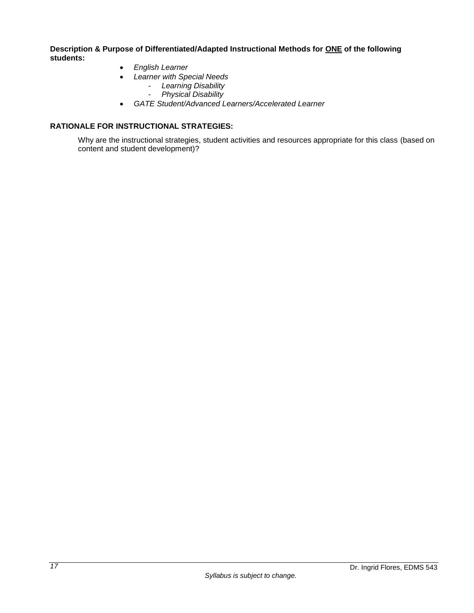**Description & Purpose of Differentiated/Adapted Instructional Methods for ONE of the following students:**

- *English Learner*
- *Learner with Special Needs*
	- *Learning Disability*
	- *Physical Disability*
- *GATE Student/Advanced Learners/Accelerated Learner*

# <span id="page-18-0"></span>**RATIONALE FOR INSTRUCTIONAL STRATEGIES:**

Why are the instructional strategies, student activities and resources appropriate for this class (based on content and student development)?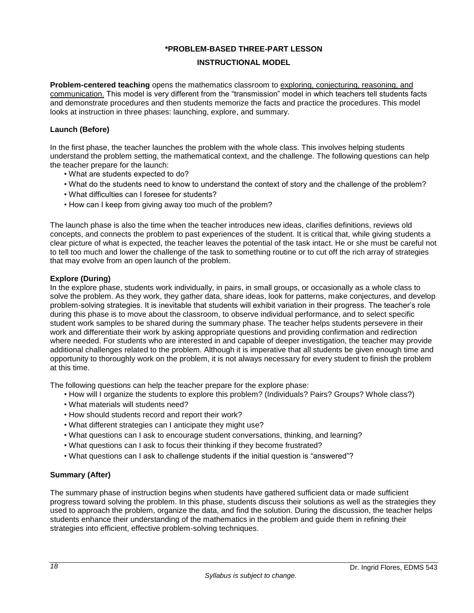### **\*PROBLEM-BASED THREE-PART LESSON**

#### **INSTRUCTIONAL MODEL**

<span id="page-19-0"></span>**Problem-centered teaching** opens the mathematics classroom to exploring, conjecturing, reasoning, and communication. This model is very different from the "transmission" model in which teachers tell students facts and demonstrate procedures and then students memorize the facts and practice the procedures. This model looks at instruction in three phases: launching, explore, and summary.

#### **Launch (Before)**

In the first phase, the teacher launches the problem with the whole class. This involves helping students understand the problem setting, the mathematical context, and the challenge. The following questions can help the teacher prepare for the launch:

- What are students expected to do?
- What do the students need to know to understand the context of story and the challenge of the problem?
- What difficulties can I foresee for students?
- How can I keep from giving away too much of the problem?

The launch phase is also the time when the teacher introduces new ideas, clarifies definitions, reviews old concepts, and connects the problem to past experiences of the student. It is critical that, while giving students a clear picture of what is expected, the teacher leaves the potential of the task intact. He or she must be careful not to tell too much and lower the challenge of the task to something routine or to cut off the rich array of strategies that may evolve from an open launch of the problem.

#### **Explore (During)**

In the explore phase, students work individually, in pairs, in small groups, or occasionally as a whole class to solve the problem. As they work, they gather data, share ideas, look for patterns, make conjectures, and develop problem-solving strategies. It is inevitable that students will exhibit variation in their progress. The teacher's role during this phase is to move about the classroom, to observe individual performance, and to select specific student work samples to be shared during the summary phase. The teacher helps students persevere in their work and differentiate their work by asking appropriate questions and providing confirmation and redirection where needed. For students who are interested in and capable of deeper investigation, the teacher may provide additional challenges related to the problem. Although it is imperative that all students be given enough time and opportunity to thoroughly work on the problem, it is not always necessary for every student to finish the problem at this time.

The following questions can help the teacher prepare for the explore phase:

- How will I organize the students to explore this problem? (Individuals? Pairs? Groups? Whole class?)
- What materials will students need?
- How should students record and report their work?
- What different strategies can I anticipate they might use?
- What questions can I ask to encourage student conversations, thinking, and learning?
- What questions can I ask to focus their thinking if they become frustrated?
- What questions can I ask to challenge students if the initial question is "answered"?

### **Summary (After)**

The summary phase of instruction begins when students have gathered sufficient data or made sufficient progress toward solving the problem. In this phase, students discuss their solutions as well as the strategies they used to approach the problem, organize the data, and find the solution. During the discussion, the teacher helps students enhance their understanding of the mathematics in the problem and guide them in refining their strategies into efficient, effective problem-solving techniques.